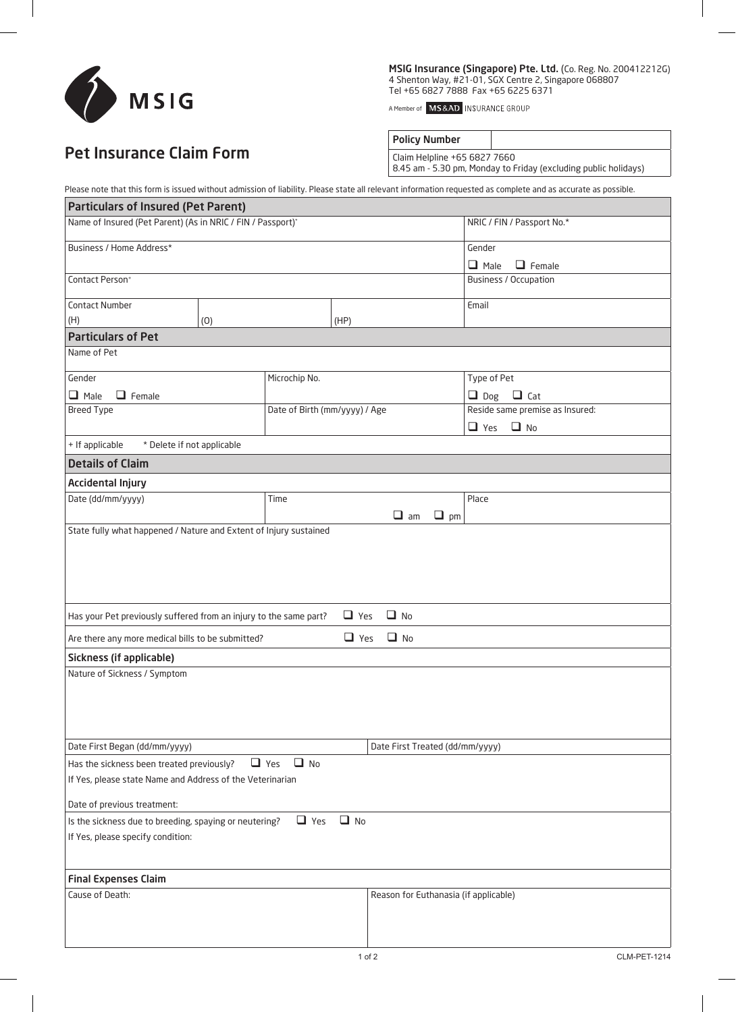

MSIG Insurance (Singapore) Pte. Ltd. (Co. Reg. No. 200412212G) 4 Shenton Way, #21-01, SGX Centre 2, Singapore 068807 Tel +65 6827 7888 Fax +65 6225 6371

A Member of **MS&AD** INSURANCE GROUP

## Pet Insurance Claim Form

Policy Number

Claim Helpline +65 6827 7660 8.45 am - 5.30 pm, Monday to Friday (excluding public holidays)

Please note that this form is issued without admission of liability. Please state all relevant information requested as complete and as accurate as possible.

| <b>Particulars of Insured (Pet Parent)</b>                                                                                                                                                                                               |                              |                               |                                       |                                 |  |  |  |  |
|------------------------------------------------------------------------------------------------------------------------------------------------------------------------------------------------------------------------------------------|------------------------------|-------------------------------|---------------------------------------|---------------------------------|--|--|--|--|
| Name of Insured (Pet Parent) (As in NRIC / FIN / Passport)*                                                                                                                                                                              |                              |                               |                                       | NRIC / FIN / Passport No.*      |  |  |  |  |
| Business / Home Address*                                                                                                                                                                                                                 |                              |                               |                                       | Gender                          |  |  |  |  |
|                                                                                                                                                                                                                                          | $\Box$ Male<br>$\Box$ Female |                               |                                       |                                 |  |  |  |  |
| Contact Person <sup>+</sup>                                                                                                                                                                                                              | Business / Occupation        |                               |                                       |                                 |  |  |  |  |
| Contact Number                                                                                                                                                                                                                           |                              |                               |                                       | Email                           |  |  |  |  |
| (H)                                                                                                                                                                                                                                      | (0)                          |                               |                                       |                                 |  |  |  |  |
| <b>Particulars of Pet</b>                                                                                                                                                                                                                |                              |                               |                                       |                                 |  |  |  |  |
| Name of Pet                                                                                                                                                                                                                              |                              |                               |                                       |                                 |  |  |  |  |
| Gender                                                                                                                                                                                                                                   | Microchip No.                |                               |                                       | Type of Pet                     |  |  |  |  |
| $\Box$ Male<br>$\Box$ Female                                                                                                                                                                                                             |                              |                               |                                       | $\Box$ Dog<br>$\Box$ Cat        |  |  |  |  |
| <b>Breed Type</b>                                                                                                                                                                                                                        |                              | Date of Birth (mm/yyyy) / Age |                                       | Reside same premise as Insured: |  |  |  |  |
|                                                                                                                                                                                                                                          |                              |                               |                                       | $\Box$ Yes $\Box$ No            |  |  |  |  |
| + If applicable<br>* Delete if not applicable                                                                                                                                                                                            |                              |                               |                                       |                                 |  |  |  |  |
| <b>Details of Claim</b>                                                                                                                                                                                                                  |                              |                               |                                       |                                 |  |  |  |  |
| <b>Accidental Injury</b>                                                                                                                                                                                                                 |                              |                               |                                       |                                 |  |  |  |  |
| Date (dd/mm/yyyy)                                                                                                                                                                                                                        | Time                         |                               |                                       | Place                           |  |  |  |  |
|                                                                                                                                                                                                                                          |                              | $\Box$ am<br>$\Box$ pm        |                                       |                                 |  |  |  |  |
| $\Box$ No<br>Has your Pet previously suffered from an injury to the same part?<br>$\Box$ Yes<br>$\Box$ No<br>$\Box$ Yes<br>Are there any more medical bills to be submitted?<br>Sickness (if applicable)<br>Nature of Sickness / Symptom |                              |                               |                                       |                                 |  |  |  |  |
| Date First Began (dd/mm/yyyy)                                                                                                                                                                                                            |                              |                               | Date First Treated (dd/mm/yyyy)       |                                 |  |  |  |  |
| Has the sickness been treated previously?                                                                                                                                                                                                | $\Box$ Yes<br>$\Box$ No      |                               |                                       |                                 |  |  |  |  |
| If Yes, please state Name and Address of the Veterinarian                                                                                                                                                                                |                              |                               |                                       |                                 |  |  |  |  |
| Date of previous treatment:                                                                                                                                                                                                              |                              |                               |                                       |                                 |  |  |  |  |
| $\Box$ Yes<br>$\Box$ No<br>Is the sickness due to breeding, spaying or neutering?                                                                                                                                                        |                              |                               |                                       |                                 |  |  |  |  |
| If Yes, please specify condition:                                                                                                                                                                                                        |                              |                               |                                       |                                 |  |  |  |  |
| <b>Final Expenses Claim</b>                                                                                                                                                                                                              |                              |                               |                                       |                                 |  |  |  |  |
| Cause of Death:                                                                                                                                                                                                                          |                              |                               | Reason for Euthanasia (if applicable) |                                 |  |  |  |  |